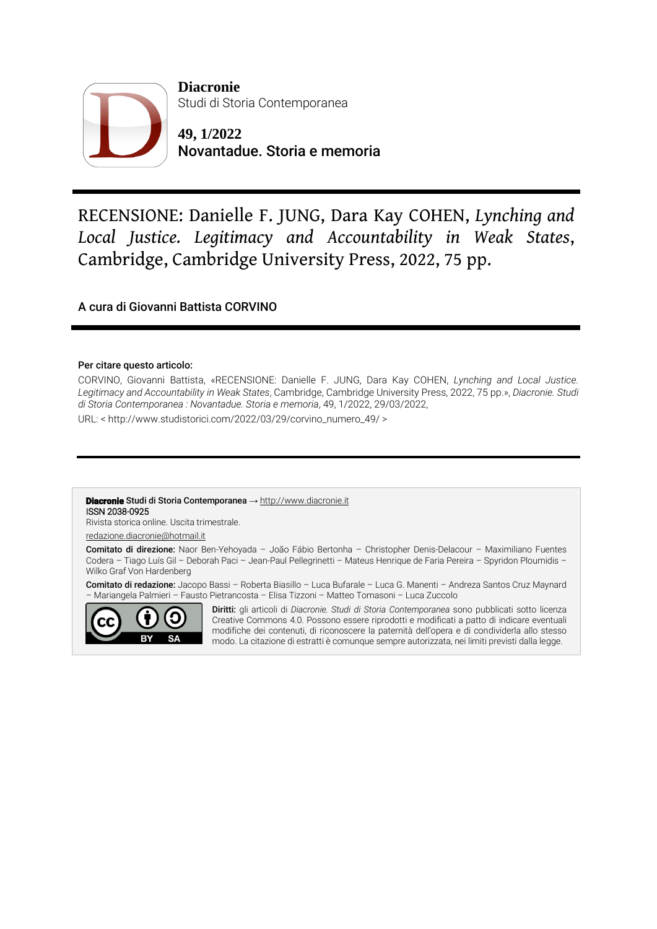

**Diacronie** Studi di Storia Contemporanea

**49, 1/2022** Novantadue. Storia e memoria

RECENSIONE: Danielle F. JUNG, Dara Kay COHEN, *Lynching and Local Justice. Legitimacy and Accountability in Weak States*, Cambridge, Cambridge University Press, 2022, 75 pp.

A cura di Giovanni Battista CORVINO

## Per citare questo articolo:

CORVINO, Giovanni Battista, «RECENSIONE: Danielle F. JUNG, Dara Kay COHEN, *Lynching and Local Justice. Legitimacy and Accountability in Weak States*, Cambridge, Cambridge University Press, 2022, 75 pp.», *Diacronie. Studi di Storia Contemporanea : Novantadue. Storia e memoria*, 49, 1/2022, 29/03/2022,

URL: < http://www.studistorici.com/2022/03/29/corvino\_numero\_49/ >

## Diacronie Studi di Storia Contemporanea → [http://www.diacronie.it](http://www.diacronie.it/) ISSN 2038-0925

Rivista storica online. Uscita trimestrale.

redazione.diacronie@hotmail.it

Comitato di direzione: Naor Ben-Yehoyada – João Fábio Bertonha – Christopher Denis-Delacour – Maximiliano Fuentes Codera – Tiago Luís Gil – Deborah Paci – Jean-Paul Pellegrinetti – Mateus Henrique de Faria Pereira – Spyridon Ploumidis – Wilko Graf Von Hardenberg

Comitato di redazione: Jacopo Bassi – Roberta Biasillo – Luca Bufarale – Luca G. Manenti – Andreza Santos Cruz Maynard – Mariangela Palmieri – Fausto Pietrancosta – Elisa Tizzoni – Matteo Tomasoni – Luca Zuccolo



Diritti: gli articoli di *Diacronie. Studi di Storia Contemporanea* sono pubblicati sotto licenza Creative Commons 4.0. Possono essere riprodotti e modificati a patto di indicare eventuali modifiche dei contenuti, di riconoscere la paternità dell'opera e di condividerla allo stesso modo. La citazione di estratti è comunque sempre autorizzata, nei limiti previsti dalla legge.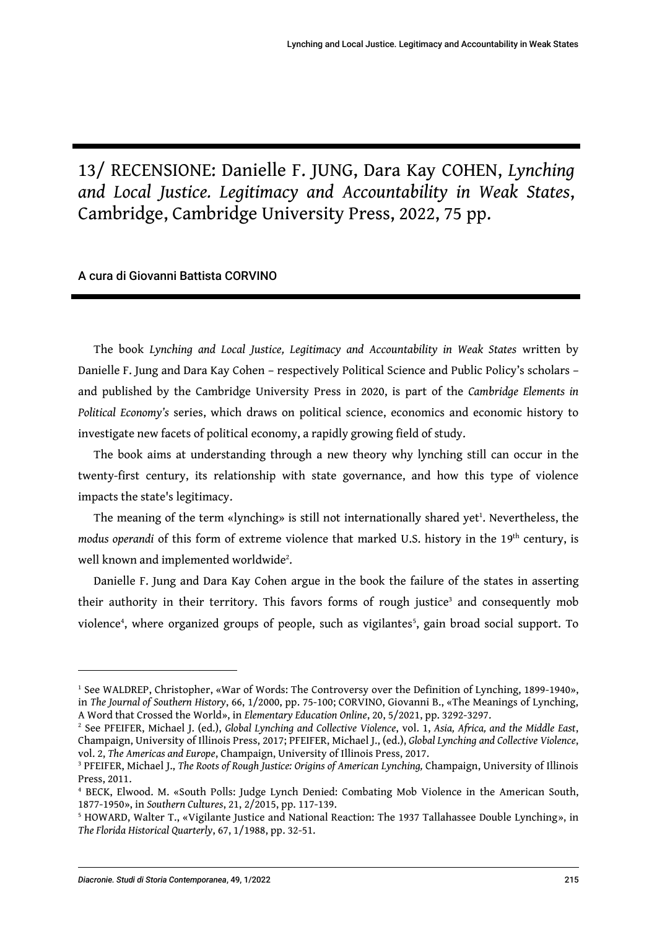13/ RECENSIONE: Danielle F. JUNG, Dara Kay COHEN, *Lynching and Local Justice. Legitimacy and Accountability in Weak States*, Cambridge, Cambridge University Press, 2022, 75 pp.

A cura di Giovanni Battista CORVINO

The book *Lynching and Local Justice, Legitimacy and Accountability in Weak States* written by Danielle F. Jung and Dara Kay Cohen – respectively Political Science and Public Policy's scholars – and published by the Cambridge University Press in 2020, is part of the *Cambridge Elements in Political Economy's* series, which draws on political science, economics and economic history to investigate new facets of political economy, a rapidly growing field of study.

The book aims at understanding through a new theory why lynching still can occur in the twenty-first century, its relationship with state governance, and how this type of violence impacts the state's legitimacy.

The meaning of the term «lynching» is still not internationally shared yet<sup>1</sup>. Nevertheless, the *modus operandi* of this form of extreme violence that marked U.S. history in the 19 th century, is well known and implemented worldwide<sup>2</sup>.

Danielle F. Jung and Dara Kay Cohen argue in the book the failure of the states in asserting their authority in their territory. This favors forms of rough justice<sup>3</sup> and consequently mob violence<sup>4</sup>, where organized groups of people, such as vigilantes<sup>5</sup>, gain broad social support. To

<sup>1</sup> See WALDREP, Christopher, «War of Words: The Controversy over the Definition of Lynching, 1899-1940», in *The Journal of Southern History*, 66, 1/2000, pp. 75-100; CORVINO, Giovanni B., «The Meanings of Lynching, A Word that Crossed the World», in *Elementary Education Online*, 20, 5/2021, pp. 3292-3297.

<sup>2</sup> See PFEIFER, Michael J. (ed.), *Global Lynching and Collective Violence*, vol. 1, *Asia, Africa, and the Middle East*, Champaign, University of Illinois Press, 2017; PFEIFER, Michael J., (ed.), *Global Lynching and Collective Violence*, vol. 2, *The Americas and Europe*, Champaign, University of Illinois Press, 2017.

<sup>3</sup> PFEIFER, Michael J., *The Roots of Rough Justice: Origins of American Lynching,* Champaign, University of Illinois Press, 2011.

<sup>4</sup> BECK, Elwood. M. «South Polls: Judge Lynch Denied: Combating Mob Violence in the American South, 1877-1950», in *Southern Cultures*, 21, 2/2015, pp. 117-139.

<sup>&</sup>lt;sup>5</sup> HOWARD, Walter T., «Vigilante Justice and National Reaction: The 1937 Tallahassee Double Lynching», in *The Florida Historical Quarterly*, 67, 1/1988, pp. 32-51.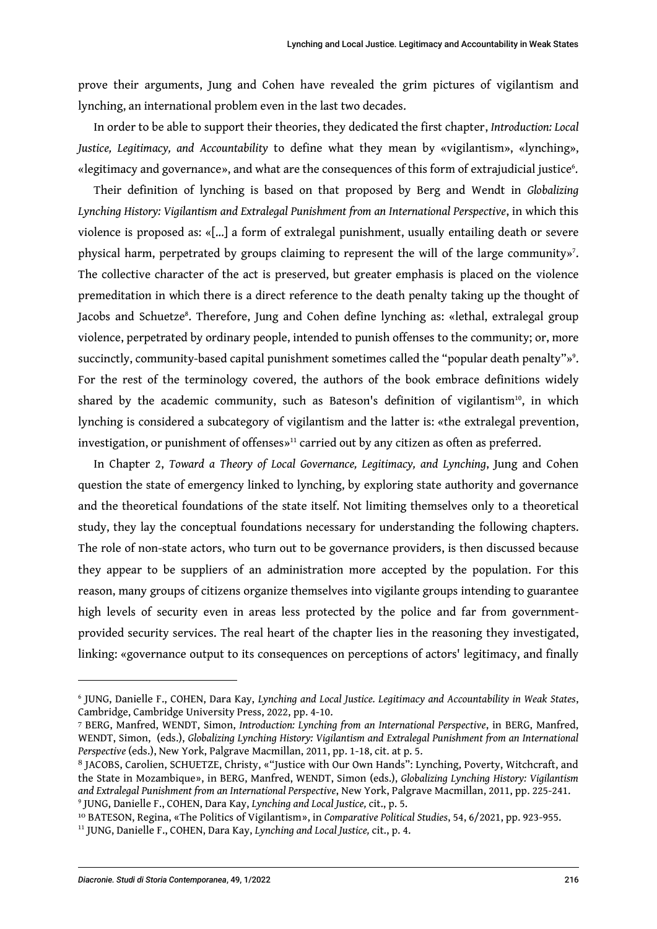prove their arguments, Jung and Cohen have revealed the grim pictures of vigilantism and lynching, an international problem even in the last two decades.

In order to be able to support their theories, they dedicated the first chapter, *Introduction: Local Justice, Legitimacy, and Accountability* to define what they mean by «vigilantism», «lynching», «legitimacy and governance», and what are the consequences of this form of extrajudicial justice $^{\circ}$ .

Their definition of lynching is based on that proposed by Berg and Wendt in *Globalizing Lynching History: Vigilantism and Extralegal Punishment from an International Perspective*, in which this violence is proposed as: «[...] a form of extralegal punishment, usually entailing death or severe physical harm, perpetrated by groups claiming to represent the will of the large community» 7 . The collective character of the act is preserved, but greater emphasis is placed on the violence premeditation in which there is a direct reference to the death penalty taking up the thought of Jacobs and Schuetze<sup>8</sup>. Therefore, Jung and Cohen define lynching as: «lethal, extralegal group violence, perpetrated by ordinary people, intended to punish offenses to the community; or, more succinctly, community-based capital punishment sometimes called the "popular death penalty"»<sup>9</sup>. For the rest of the terminology covered, the authors of the book embrace definitions widely shared by the academic community, such as Bateson's definition of vigilantism<sup>10</sup>, in which lynching is considered a subcategory of vigilantism and the latter is: «the extralegal prevention, investigation, or punishment of offenses» $^{\rm 11}$  carried out by any citizen as often as preferred.

In Chapter 2, *Toward a Theory of Local Governance, Legitimacy, and Lynching*, Jung and Cohen question the state of emergency linked to lynching, by exploring state authority and governance and the theoretical foundations of the state itself. Not limiting themselves only to a theoretical study, they lay the conceptual foundations necessary for understanding the following chapters. The role of non-state actors, who turn out to be governance providers, is then discussed because they appear to be suppliers of an administration more accepted by the population. For this reason, many groups of citizens organize themselves into vigilante groups intending to guarantee high levels of security even in areas less protected by the police and far from governmentprovided security services. The real heart of the chapter lies in the reasoning they investigated, linking: «governance output to its consequences on perceptions of actors' legitimacy, and finally

<sup>6</sup> JUNG, Danielle F., COHEN, Dara Kay, *Lynching and Local Justice. Legitimacy and Accountability in Weak States*, Cambridge, Cambridge University Press, 2022, pp. 4-10.

<sup>7</sup> BERG, Manfred, WENDT, Simon, *Introduction: Lynching from an International Perspective*, in BERG, Manfred, WENDT, Simon, (eds.), *Globalizing Lynching History: Vigilantism and Extralegal Punishment from an International Perspective* (eds.), New York, Palgrave Macmillan, 2011, pp. 1-18, cit. at p. 5.

<sup>8</sup> JACOBS, Carolien, SCHUETZE, Christy, «"Justice with Our Own Hands": Lynching, Poverty, Witchcraft, and the State in Mozambique», in BERG, Manfred, WENDT, Simon (eds.), *Globalizing Lynching History: Vigilantism and Extralegal Punishment from an International Perspective*, New York, Palgrave Macmillan, 2011, pp. 225-241. 9 JUNG, Danielle F., COHEN, Dara Kay, *Lynching and Local Justice,* cit., p. 5.

<sup>10</sup> BATESON, Regina, «The Politics of Vigilantism», in *Comparative Political Studies*, 54, 6/2021, pp. 923-955. <sup>11</sup> JUNG, Danielle F., COHEN, Dara Kay, *Lynching and Local Justice,* cit., p. 4.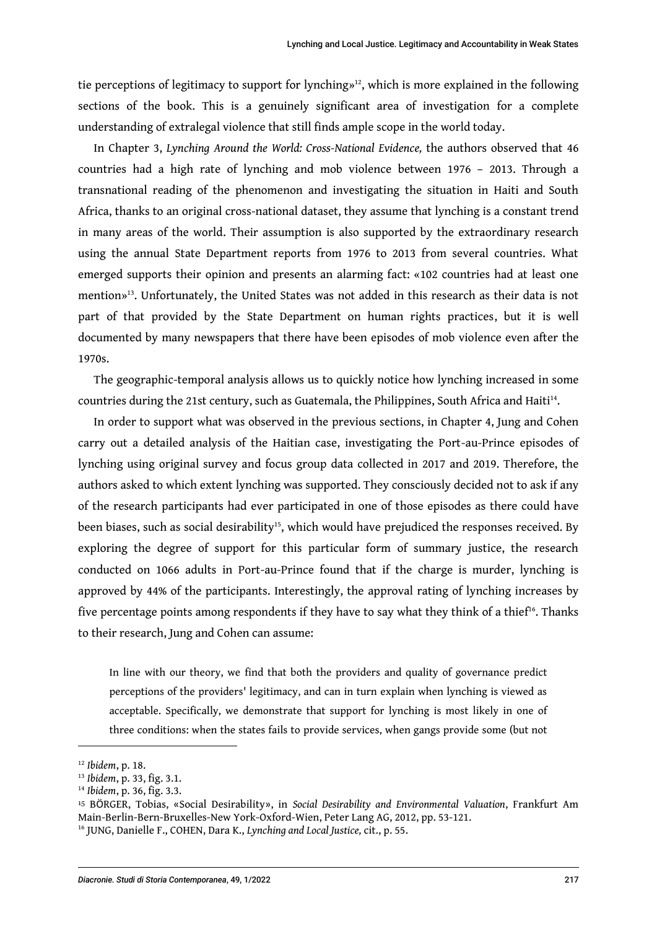tie perceptions of legitimacy to support for lynching»<sup>12</sup>, which is more explained in the following sections of the book. This is a genuinely significant area of investigation for a complete understanding of extralegal violence that still finds ample scope in the world today.

In Chapter 3, *Lynching Around the World: Cross-National Evidence,* the authors observed that 46 countries had a high rate of lynching and mob violence between 1976 – 2013. Through a transnational reading of the phenomenon and investigating the situation in Haiti and South Africa, thanks to an original cross-national dataset, they assume that lynching is a constant trend in many areas of the world. Their assumption is also supported by the extraordinary research using the annual State Department reports from 1976 to 2013 from several countries. What emerged supports their opinion and presents an alarming fact: «102 countries had at least one mention» 13 . Unfortunately, the United States was not added in this research as their data is not part of that provided by the State Department on human rights practices, but it is well documented by many newspapers that there have been episodes of mob violence even after the 1970s.

The geographic-temporal analysis allows us to quickly notice how lynching increased in some countries during the 21st century, such as Guatemala, the Philippines, South Africa and Haiti<sup>14</sup>.

In order to support what was observed in the previous sections, in Chapter 4, Jung and Cohen carry out a detailed analysis of the Haitian case, investigating the Port-au-Prince episodes of lynching using original survey and focus group data collected in 2017 and 2019. Therefore, the authors asked to which extent lynching was supported. They consciously decided not to ask if any of the research participants had ever participated in one of those episodes as there could have been biases, such as social desirability<sup>15</sup>, which would have prejudiced the responses received. By exploring the degree of support for this particular form of summary justice, the research conducted on 1066 adults in Port-au-Prince found that if the charge is murder, lynching is approved by 44% of the participants. Interestingly, the approval rating of lynching increases by five percentage points among respondents if they have to say what they think of a thief<sup>16</sup>. Thanks to their research, Jung and Cohen can assume:

In line with our theory, we find that both the providers and quality of governance predict perceptions of the providers' legitimacy, and can in turn explain when lynching is viewed as acceptable. Specifically, we demonstrate that support for lynching is most likely in one of three conditions: when the states fails to provide services, when gangs provide some (but not

<sup>12</sup> *Ibidem*, p. 18.

<sup>13</sup> *Ibidem*, p. 33, fig. 3.1.

<sup>14</sup> *Ibidem*, p. 36, fig. 3.3.

<sup>15</sup> BÖRGER, Tobias, «Social Desirability», in *Social Desirability and Environmental Valuation*, Frankfurt Am Main-Berlin-Bern-Bruxelles-New York-Oxford-Wien, Peter Lang AG, 2012, pp. 53-121.

<sup>16</sup> JUNG, Danielle F., COHEN, Dara K., *Lynching and Local Justice,* cit., p. 55.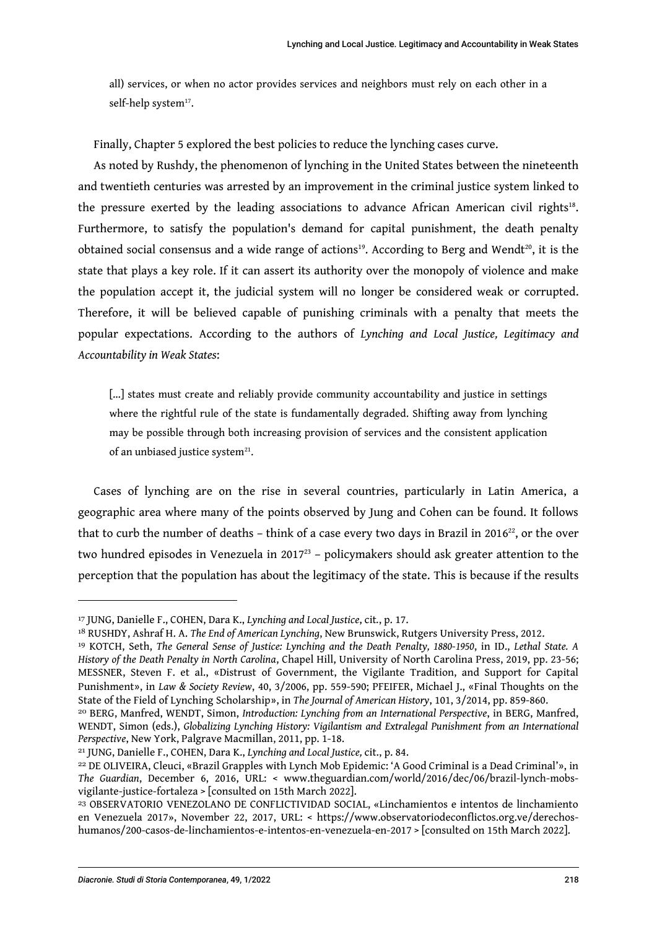all) services, or when no actor provides services and neighbors must rely on each other in a self-help system $^{17}$ .

Finally, Chapter 5 explored the best policies to reduce the lynching cases curve.

As noted by Rushdy, the phenomenon of lynching in the United States between the nineteenth and twentieth centuries was arrested by an improvement in the criminal justice system linked to the pressure exerted by the leading associations to advance African American civil rights<sup>18</sup>. Furthermore, to satisfy the population's demand for capital punishment, the death penalty obtained social consensus and a wide range of actions<sup>19</sup>. According to Berg and Wendt<sup>20</sup>, it is the state that plays a key role. If it can assert its authority over the monopoly of violence and make the population accept it, the judicial system will no longer be considered weak or corrupted. Therefore, it will be believed capable of punishing criminals with a penalty that meets the popular expectations. According to the authors of *Lynching and Local Justice, Legitimacy and Accountability in Weak States*:

[...] states must create and reliably provide community accountability and justice in settings where the rightful rule of the state is fundamentally degraded. Shifting away from lynching may be possible through both increasing provision of services and the consistent application of an unbiased justice system $^{21}$ .

Cases of lynching are on the rise in several countries, particularly in Latin America, a geographic area where many of the points observed by Jung and Cohen can be found. It follows that to curb the number of deaths - think of a case every two days in Brazil in 2016<sup>22</sup>, or the over two hundred episodes in Venezuela in 2017 $^{23}$  - policymakers should ask greater attention to the perception that the population has about the legitimacy of the state. This is because if the results

<sup>17</sup> JUNG, Danielle F., COHEN, Dara K., *Lynching and Local Justice*, cit*.*, p. 17.

<sup>18</sup> RUSHDY, Ashraf H. A. *The End of American Lynching*, New Brunswick, Rutgers University Press, 2012.

<sup>19</sup> KOTCH, Seth, *The General Sense of Justice: Lynching and the Death Penalty, 1880-1950*, in ID., *Lethal State. A History of the Death Penalty in North Carolina*, Chapel Hill, University of North Carolina Press, 2019, pp. 23-56; MESSNER, Steven F. et al., «Distrust of Government, the Vigilante Tradition, and Support for Capital Punishment», in *Law & Society Review*, 40, 3/2006, pp. 559-590; PFEIFER, Michael J., «Final Thoughts on the State of the Field of Lynching Scholarship», in *The Journal of American History*, 101, 3/2014, pp. 859-860.

<sup>20</sup> BERG, Manfred, WENDT, Simon, *Introduction: Lynching from an International Perspective*, in BERG, Manfred, WENDT, Simon (eds.), *Globalizing Lynching History: Vigilantism and Extralegal Punishment from an International Perspective*, New York, Palgrave Macmillan, 2011, pp. 1-18.

<sup>21</sup> JUNG, Danielle F., COHEN, Dara K., *Lynching and Local Justice,* cit., p. 84.

<sup>22</sup> DE OLIVEIRA, Cleuci, «Brazil Grapples with Lynch Mob Epidemic: 'A Good Criminal is a Dead Criminal'», in *The Guardian*, December 6, 2016, URL: < [www.theguardian.com/world/2016/dec/06/brazil-lynch-mobs](http://www.theguardian.com/world/2016/dec/06/brazil-lynch-mobs-vigilante-justice-fortaleza)[vigilante-justice-fortaleza](http://www.theguardian.com/world/2016/dec/06/brazil-lynch-mobs-vigilante-justice-fortaleza) > [consulted on 15th March 2022].

<sup>23</sup> OBSERVATORIO VENEZOLANO DE CONFLICTIVIDAD SOCIAL, «Linchamientos e intentos de linchamiento en Venezuela 2017», November 22, 2017, URL: < [https://www.observatoriodeconflictos.org.ve/derechos](https://www.observatoriodeconflictos.org.ve/derechos-humanos/200-casos-de-linchamientos-e-intentos-en-venezuela-en-2017)[humanos/200-casos-de-linchamientos-e-intentos-en-venezuela-en-2017](https://www.observatoriodeconflictos.org.ve/derechos-humanos/200-casos-de-linchamientos-e-intentos-en-venezuela-en-2017) > [consulted on 15th March 2022].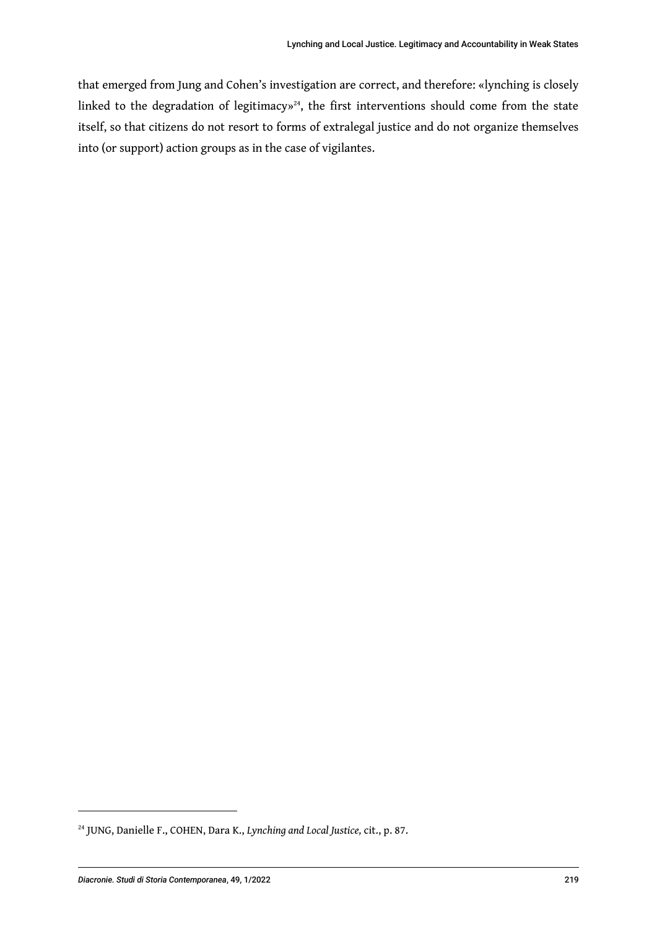that emerged from Jung and Cohen's investigation are correct, and therefore: «lynching is closely linked to the degradation of legitimacy»<sup>24</sup>, the first interventions should come from the state itself, so that citizens do not resort to forms of extralegal justice and do not organize themselves into (or support) action groups as in the case of vigilantes.

<sup>24</sup> JUNG, Danielle F., COHEN, Dara K., *Lynching and Local Justice,* cit., p. 87.